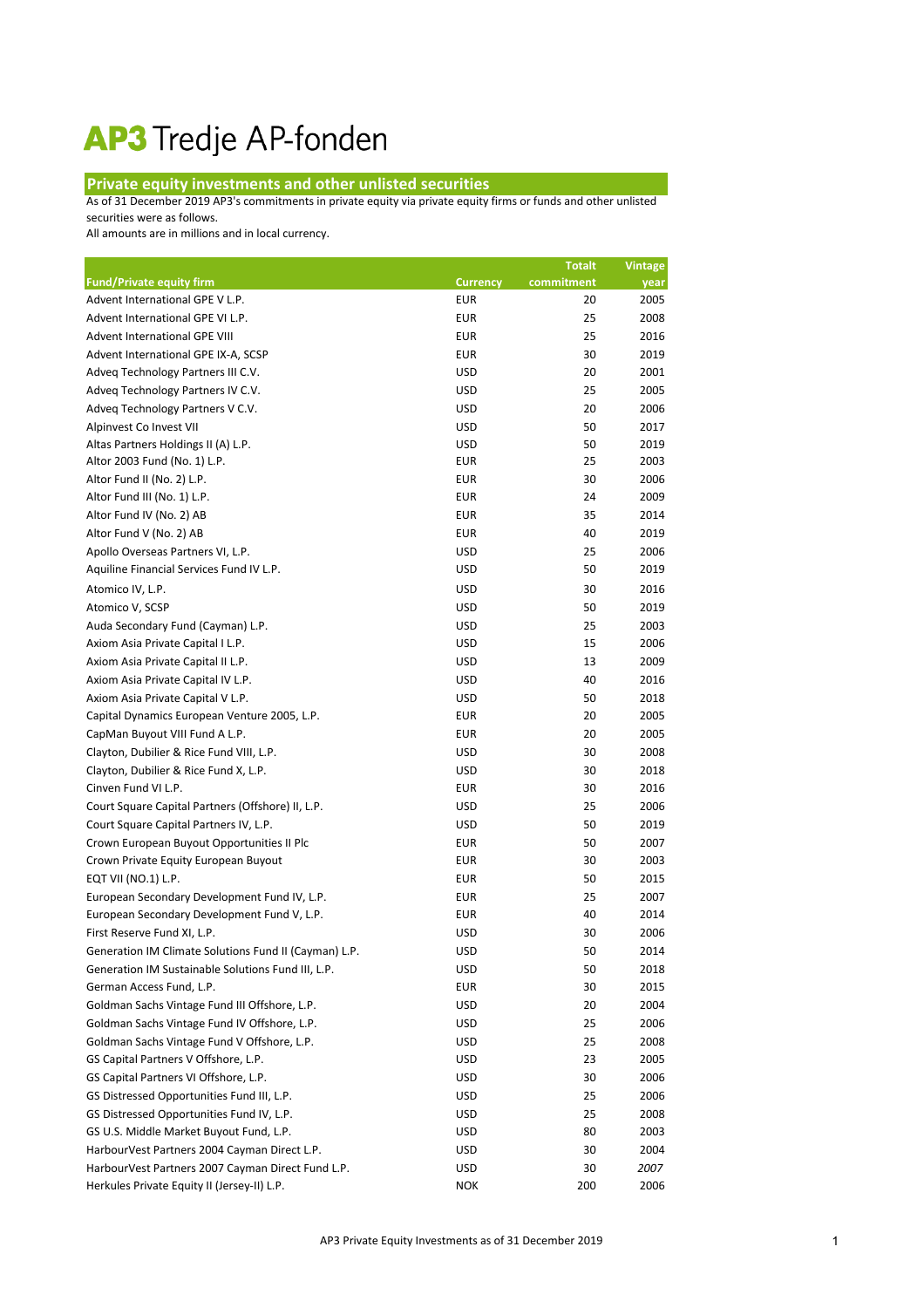## AP3 Tredje AP-fonden

## **Private equity investments and other unlisted securities**

As of 31 December 2019 AP3's commitments in private equity via private equity firms or funds and other unlisted securities were as follows.

All amounts are in millions and in local currency.

|                                                       |                 | <b>Totalt</b> | <b>Vintage</b> |
|-------------------------------------------------------|-----------------|---------------|----------------|
| <b>Fund/Private equity firm</b>                       | <b>Currency</b> | commitment    | year           |
| Advent International GPE V L.P.                       | <b>EUR</b>      | 20            | 2005           |
| Advent International GPE VI L.P.                      | <b>EUR</b>      | 25            | 2008           |
| Advent International GPE VIII                         | <b>EUR</b>      | 25            | 2016           |
| Advent International GPE IX-A, SCSP                   | <b>EUR</b>      | 30            | 2019           |
| Adveq Technology Partners III C.V.                    | <b>USD</b>      | 20            | 2001           |
| Adveq Technology Partners IV C.V.                     | <b>USD</b>      | 25            | 2005           |
| Adveq Technology Partners V C.V.                      | <b>USD</b>      | 20            | 2006           |
| Alpinvest Co Invest VII                               | <b>USD</b>      | 50            | 2017           |
| Altas Partners Holdings II (A) L.P.                   | <b>USD</b>      | 50            | 2019           |
| Altor 2003 Fund (No. 1) L.P.                          | <b>EUR</b>      | 25            | 2003           |
| Altor Fund II (No. 2) L.P.                            | <b>EUR</b>      | 30            | 2006           |
| Altor Fund III (No. 1) L.P.                           | <b>EUR</b>      | 24            | 2009           |
| Altor Fund IV (No. 2) AB                              | <b>EUR</b>      | 35            | 2014           |
| Altor Fund V (No. 2) AB                               | <b>EUR</b>      | 40            | 2019           |
| Apollo Overseas Partners VI, L.P.                     | <b>USD</b>      | 25            | 2006           |
| Aquiline Financial Services Fund IV L.P.              | <b>USD</b>      | 50            | 2019           |
| Atomico IV, L.P.                                      | <b>USD</b>      | 30            | 2016           |
| Atomico V, SCSP                                       | <b>USD</b>      | 50            | 2019           |
| Auda Secondary Fund (Cayman) L.P.                     | <b>USD</b>      | 25            | 2003           |
| Axiom Asia Private Capital I L.P.                     | <b>USD</b>      | 15            | 2006           |
| Axiom Asia Private Capital II L.P.                    | <b>USD</b>      | 13            | 2009           |
| Axiom Asia Private Capital IV L.P.                    | <b>USD</b>      | 40            | 2016           |
| Axiom Asia Private Capital V L.P.                     | <b>USD</b>      | 50            | 2018           |
| Capital Dynamics European Venture 2005, L.P.          | <b>EUR</b>      | 20            | 2005           |
| CapMan Buyout VIII Fund A L.P.                        | <b>EUR</b>      | 20            | 2005           |
| Clayton, Dubilier & Rice Fund VIII, L.P.              | <b>USD</b>      | 30            | 2008           |
| Clayton, Dubilier & Rice Fund X, L.P.                 | <b>USD</b>      | 30            | 2018           |
| Cinven Fund VI L.P.                                   | <b>EUR</b>      | 30            | 2016           |
| Court Square Capital Partners (Offshore) II, L.P.     | <b>USD</b>      | 25            | 2006           |
| Court Square Capital Partners IV, L.P.                | <b>USD</b>      | 50            | 2019           |
| Crown European Buyout Opportunities II Plc            | <b>EUR</b>      | 50            | 2007           |
| Crown Private Equity European Buyout                  | <b>EUR</b>      | 30            | 2003           |
| EQT VII (NO.1) L.P.                                   | <b>EUR</b>      | 50            | 2015           |
| European Secondary Development Fund IV, L.P.          | <b>EUR</b>      | 25            | 2007           |
| European Secondary Development Fund V, L.P.           | <b>EUR</b>      | 40            | 2014           |
| First Reserve Fund XI, L.P.                           | <b>USD</b>      | 30            | 2006           |
| Generation IM Climate Solutions Fund II (Cayman) L.P. | <b>USD</b>      | 50            | 2014           |
| Generation IM Sustainable Solutions Fund III, L.P.    | <b>USD</b>      | 50            | 2018           |
| German Access Fund, L.P.                              | <b>EUR</b>      | 30            | 2015           |
| Goldman Sachs Vintage Fund III Offshore, L.P.         | <b>USD</b>      | 20            | 2004           |
| Goldman Sachs Vintage Fund IV Offshore, L.P.          | <b>USD</b>      | 25            | 2006           |
| Goldman Sachs Vintage Fund V Offshore, L.P.           | <b>USD</b>      | 25            | 2008           |
| GS Capital Partners V Offshore, L.P.                  | <b>USD</b>      | 23            | 2005           |
| GS Capital Partners VI Offshore, L.P.                 | <b>USD</b>      | 30            | 2006           |
| GS Distressed Opportunities Fund III, L.P.            | <b>USD</b>      | 25            | 2006           |
| GS Distressed Opportunities Fund IV, L.P.             | <b>USD</b>      | 25            | 2008           |
| GS U.S. Middle Market Buyout Fund, L.P.               | <b>USD</b>      | 80            | 2003           |
| HarbourVest Partners 2004 Cayman Direct L.P.          | <b>USD</b>      | 30            | 2004           |
| HarbourVest Partners 2007 Cayman Direct Fund L.P.     | <b>USD</b>      | 30            | 2007           |
| Herkules Private Equity II (Jersey-II) L.P.           | <b>NOK</b>      | 200           | 2006           |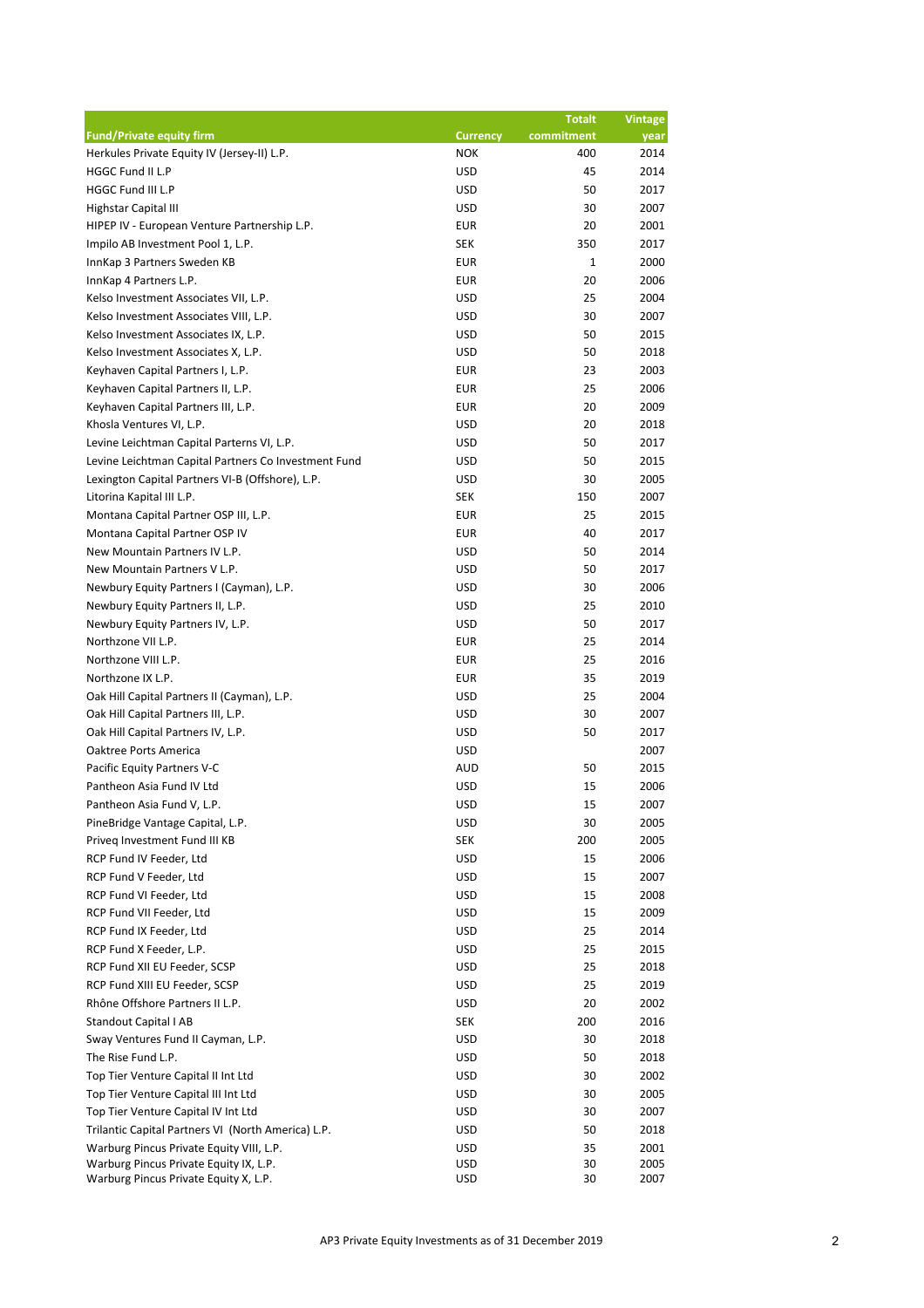|                                                                                 |                          | <b>Totalt</b> | <b>Vintage</b> |
|---------------------------------------------------------------------------------|--------------------------|---------------|----------------|
| <b>Fund/Private equity firm</b>                                                 | <b>Currency</b>          | commitment    | year           |
| Herkules Private Equity IV (Jersey-II) L.P.                                     | <b>NOK</b>               | 400           | 2014           |
| HGGC Fund II L.P                                                                | <b>USD</b>               | 45            | 2014           |
| HGGC Fund III L.P                                                               | <b>USD</b>               | 50            | 2017           |
| Highstar Capital III                                                            | <b>USD</b>               | 30            | 2007           |
| HIPEP IV - European Venture Partnership L.P.                                    | <b>EUR</b>               | 20            | 2001           |
| Impilo AB Investment Pool 1, L.P.                                               | <b>SEK</b>               | 350           | 2017           |
| InnKap 3 Partners Sweden KB                                                     | <b>EUR</b>               | $\mathbf{1}$  | 2000           |
| InnKap 4 Partners L.P.                                                          | <b>EUR</b>               | 20            | 2006           |
| Kelso Investment Associates VII, L.P.                                           | <b>USD</b>               | 25            | 2004           |
| Kelso Investment Associates VIII, L.P.                                          | <b>USD</b>               | 30            | 2007           |
| Kelso Investment Associates IX, L.P.                                            | <b>USD</b>               | 50            | 2015           |
| Kelso Investment Associates X, L.P.                                             | <b>USD</b>               | 50            | 2018           |
| Keyhaven Capital Partners I, L.P.                                               | <b>EUR</b>               | 23            | 2003           |
| Keyhaven Capital Partners II, L.P.                                              | <b>EUR</b>               | 25            | 2006           |
| Keyhaven Capital Partners III, L.P.                                             | <b>EUR</b>               | 20            | 2009           |
| Khosla Ventures VI, L.P.                                                        | <b>USD</b>               | 20            | 2018           |
| Levine Leichtman Capital Parterns VI, L.P.                                      | <b>USD</b>               | 50            | 2017           |
| Levine Leichtman Capital Partners Co Investment Fund                            | <b>USD</b>               | 50            | 2015           |
| Lexington Capital Partners VI-B (Offshore), L.P.                                | <b>USD</b>               | 30            | 2005           |
| Litorina Kapital III L.P.                                                       | <b>SEK</b>               | 150           | 2007           |
| Montana Capital Partner OSP III, L.P.                                           | <b>EUR</b>               | 25            | 2015           |
| Montana Capital Partner OSP IV                                                  | <b>EUR</b>               | 40            | 2017           |
| New Mountain Partners IV L.P.                                                   | <b>USD</b>               | 50            | 2014           |
| New Mountain Partners V L.P.                                                    | <b>USD</b>               | 50            | 2017           |
| Newbury Equity Partners I (Cayman), L.P.                                        | <b>USD</b>               | 30            | 2006           |
| Newbury Equity Partners II, L.P.                                                | <b>USD</b>               | 25            | 2010           |
| Newbury Equity Partners IV, L.P.                                                | <b>USD</b>               | 50            | 2017           |
| Northzone VII L.P.                                                              | <b>EUR</b>               | 25            | 2014           |
| Northzone VIII L.P.                                                             | <b>EUR</b>               | 25            | 2016           |
| Northzone IX L.P.                                                               | <b>EUR</b>               | 35            | 2019           |
| Oak Hill Capital Partners II (Cayman), L.P.                                     | <b>USD</b>               | 25            | 2004           |
| Oak Hill Capital Partners III, L.P.                                             | <b>USD</b>               | 30            | 2007           |
| Oak Hill Capital Partners IV, L.P.                                              | <b>USD</b>               | 50            | 2017           |
| Oaktree Ports America                                                           | <b>USD</b>               |               | 2007           |
|                                                                                 |                          |               |                |
| Pacific Equity Partners V-C                                                     | <b>AUD</b>               | 50            | 2015           |
| Pantheon Asia Fund IV Ltd<br>Pantheon Asia Fund V, L.P.                         | <b>USD</b>               | 15            | 2006           |
|                                                                                 | <b>USD</b>               | 15            | 2007           |
| PineBridge Vantage Capital, L.P.                                                | <b>USD</b>               | 30            | 2005           |
| Priveg Investment Fund III KB                                                   | <b>SEK</b>               | 200           | 2005           |
| RCP Fund IV Feeder, Ltd                                                         | <b>USD</b>               | 15            | 2006           |
| RCP Fund V Feeder, Ltd                                                          | <b>USD</b>               | 15            | 2007           |
| RCP Fund VI Feeder, Ltd                                                         | <b>USD</b>               | 15            | 2008           |
| RCP Fund VII Feeder, Ltd                                                        | <b>USD</b>               | 15            | 2009           |
| RCP Fund IX Feeder, Ltd                                                         | <b>USD</b>               | 25            | 2014           |
| RCP Fund X Feeder, L.P.                                                         | <b>USD</b>               | 25            | 2015           |
| RCP Fund XII EU Feeder, SCSP                                                    | <b>USD</b>               | 25            | 2018           |
| RCP Fund XIII EU Feeder, SCSP                                                   | <b>USD</b>               | 25            | 2019           |
| Rhône Offshore Partners II L.P.                                                 | <b>USD</b>               | 20            | 2002           |
| <b>Standout Capital I AB</b>                                                    | <b>SEK</b>               | 200           | 2016           |
| Sway Ventures Fund II Cayman, L.P.                                              | <b>USD</b>               | 30            | 2018           |
| The Rise Fund L.P.                                                              | <b>USD</b>               | 50            | 2018           |
| Top Tier Venture Capital II Int Ltd                                             | <b>USD</b>               | 30            | 2002           |
| Top Tier Venture Capital III Int Ltd                                            | <b>USD</b>               | 30            | 2005           |
| Top Tier Venture Capital IV Int Ltd                                             | <b>USD</b>               | 30            | 2007           |
| Trilantic Capital Partners VI (North America) L.P.                              | <b>USD</b>               | 50            | 2018           |
| Warburg Pincus Private Equity VIII, L.P.                                        | <b>USD</b>               | 35            | 2001           |
| Warburg Pincus Private Equity IX, L.P.<br>Warburg Pincus Private Equity X, L.P. | <b>USD</b><br><b>USD</b> | 30<br>30      | 2005<br>2007   |
|                                                                                 |                          |               |                |